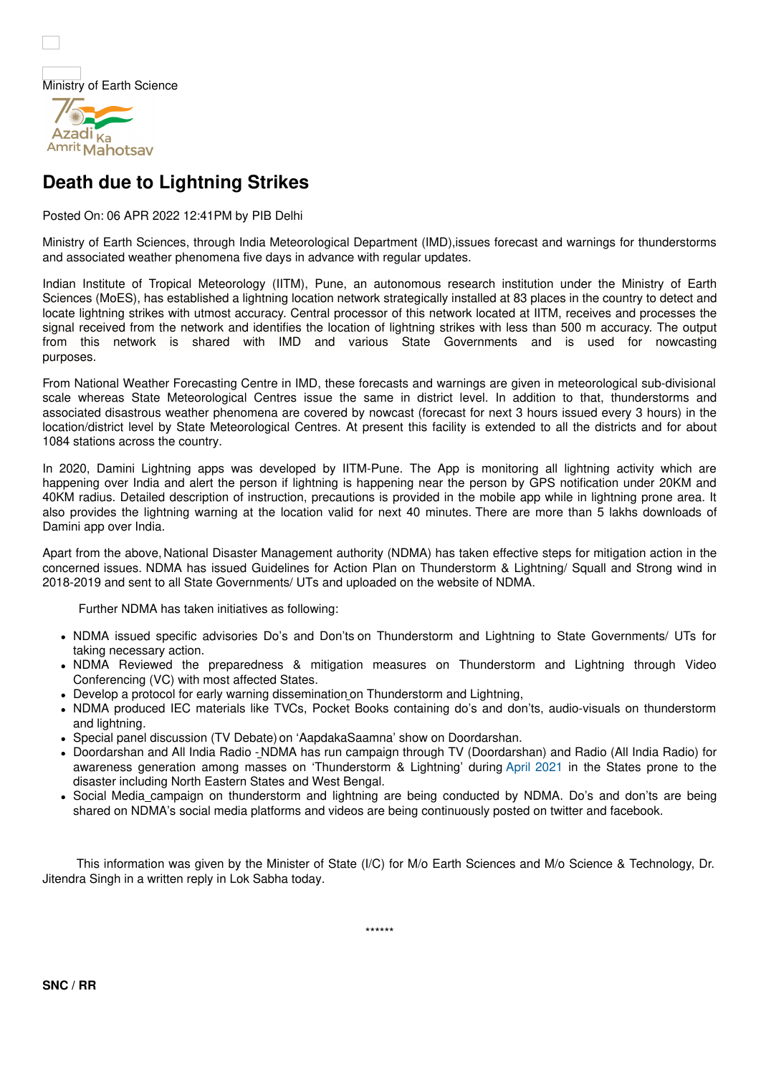



## **Death due to Lightning Strikes**

Posted On: 06 APR 2022 12:41PM by PIB Delhi

Ministry of Earth Sciences, through India Meteorological Department (IMD),issues forecast and warnings for thunderstorms and associated weather phenomena five days in advance with regular updates.

Indian Institute of Tropical Meteorology (IITM), Pune, an autonomous research institution under the Ministry of Earth Sciences (MoES), has established a lightning location network strategically installed at 83 places in the country to detect and locate lightning strikes with utmost accuracy. Central processor of this network located at IITM, receives and processes the signal received from the network and identifies the location of lightning strikes with less than 500 m accuracy. The output from this network is shared with IMD and various State Governments and is used for nowcasting purposes.

From National Weather Forecasting Centre in IMD, these forecasts and warnings are given in meteorological sub-divisional scale whereas State Meteorological Centres issue the same in district level. In addition to that, thunderstorms and associated disastrous weather phenomena are covered by nowcast (forecast for next 3 hours issued every 3 hours) in the location/district level by State Meteorological Centres. At present this facility is extended to all the districts and for about 1084 stations across the country.

In 2020, Damini Lightning apps was developed by IITM-Pune. The App is monitoring all lightning activity which are happening over India and alert the person if lightning is happening near the person by GPS notification under 20KM and 40KM radius. Detailed description of instruction, precautions is provided in the mobile app while in lightning prone area. It also provides the lightning warning at the location valid for next 40 minutes. There are more than 5 lakhs downloads of Damini app over India.

Apart from the above, National Disaster Management authority (NDMA) has taken effective steps for mitigation action in the concerned issues. NDMA has issued Guidelines for Action Plan on Thunderstorm & Lightning/ Squall and Strong wind in 2018-2019 and sent to all State Governments/ UTs and uploaded on the website of NDMA.

Further NDMA has taken initiatives as following:

- NDMA issued specific advisories Do's and Don'ts on Thunderstorm and Lightning to State Governments/ UTs for taking necessary action.
- NDMA Reviewed the preparedness & mitigation measures on Thunderstorm and Lightning through Video Conferencing (VC) with most affected States.
- Develop a protocol for early warning dissemination on Thunderstorm and Lightning,
- NDMA produced IEC materials like TVCs, Pocket Books containing do's and don'ts, audio-visuals on thunderstorm and lightning.
- Special panel discussion (TV Debate) on 'AapdakaSaamna' show on Doordarshan.
- Doordarshan and All India Radio -NDMA has run campaign through TV (Doordarshan) and Radio (All India Radio) for awareness generation among masses on 'Thunderstorm & Lightning' during April 2021 in the States prone to the disaster including North Eastern States and West Bengal.
- Social Media campaign on thunderstorm and lightning are being conducted by NDMA. Do's and don'ts are being shared on NDMA's social media platforms and videos are being continuously posted on twitter and facebook.

This information was given by the Minister of State (I/C) for M/o Earth Sciences and M/o Science & Technology, Dr. Jitendra Singh in a written reply in Lok Sabha today.